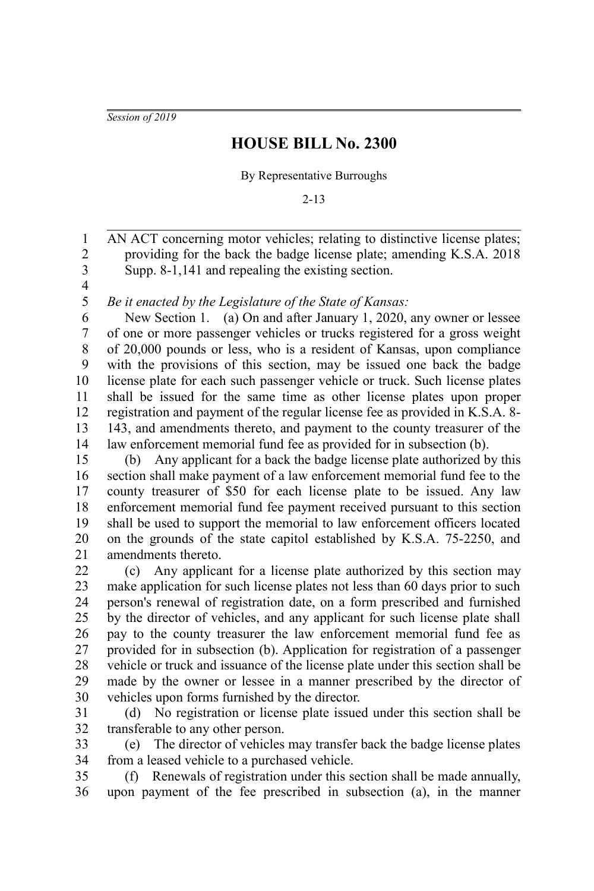*Session of 2019*

## **HOUSE BILL No. 2300**

By Representative Burroughs

2-13

AN ACT concerning motor vehicles; relating to distinctive license plates; providing for the back the badge license plate; amending K.S.A. 2018 Supp. 8-1,141 and repealing the existing section. 1 2 3

4 5

*Be it enacted by the Legislature of the State of Kansas:*

New Section 1. (a) On and after January 1, 2020, any owner or lessee of one or more passenger vehicles or trucks registered for a gross weight of 20,000 pounds or less, who is a resident of Kansas, upon compliance with the provisions of this section, may be issued one back the badge license plate for each such passenger vehicle or truck. Such license plates shall be issued for the same time as other license plates upon proper registration and payment of the regular license fee as provided in K.S.A. 8- 143, and amendments thereto, and payment to the county treasurer of the law enforcement memorial fund fee as provided for in subsection (b). 6 7 8 9 10 11 12 13 14

(b) Any applicant for a back the badge license plate authorized by this section shall make payment of a law enforcement memorial fund fee to the county treasurer of \$50 for each license plate to be issued. Any law enforcement memorial fund fee payment received pursuant to this section shall be used to support the memorial to law enforcement officers located on the grounds of the state capitol established by K.S.A. 75-2250, and amendments thereto. 15 16 17 18 19 20 21

(c) Any applicant for a license plate authorized by this section may make application for such license plates not less than 60 days prior to such person's renewal of registration date, on a form prescribed and furnished by the director of vehicles, and any applicant for such license plate shall pay to the county treasurer the law enforcement memorial fund fee as provided for in subsection (b). Application for registration of a passenger vehicle or truck and issuance of the license plate under this section shall be made by the owner or lessee in a manner prescribed by the director of vehicles upon forms furnished by the director. 22 23 24 25 26 27 28 29 30

(d) No registration or license plate issued under this section shall be transferable to any other person. 31 32

(e) The director of vehicles may transfer back the badge license plates from a leased vehicle to a purchased vehicle. 33 34

(f) Renewals of registration under this section shall be made annually, upon payment of the fee prescribed in subsection (a), in the manner 35 36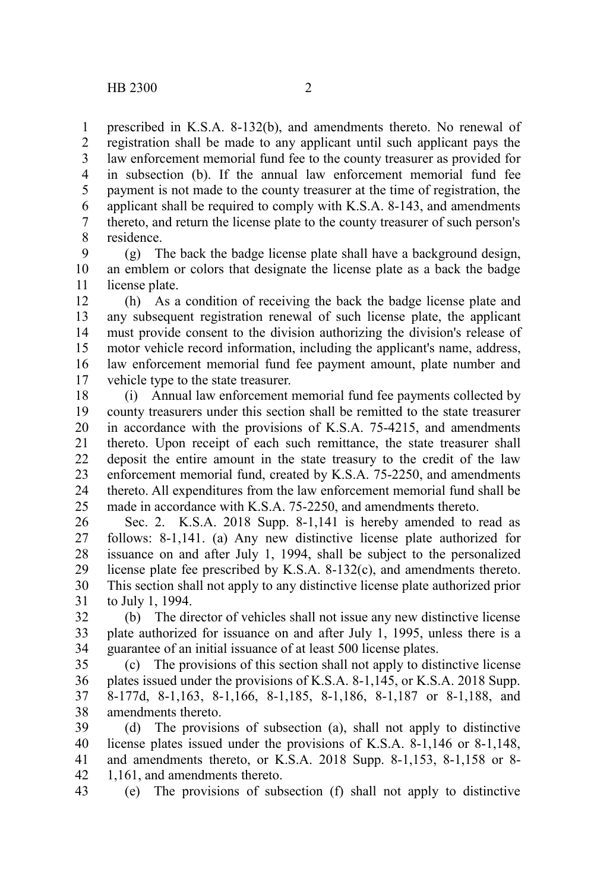prescribed in K.S.A. 8-132(b), and amendments thereto. No renewal of registration shall be made to any applicant until such applicant pays the law enforcement memorial fund fee to the county treasurer as provided for in subsection (b). If the annual law enforcement memorial fund fee payment is not made to the county treasurer at the time of registration, the applicant shall be required to comply with K.S.A. 8-143, and amendments thereto, and return the license plate to the county treasurer of such person's residence. 1 2 3 4 5 6 7 8

(g) The back the badge license plate shall have a background design, an emblem or colors that designate the license plate as a back the badge license plate. 9 10 11

(h) As a condition of receiving the back the badge license plate and any subsequent registration renewal of such license plate, the applicant must provide consent to the division authorizing the division's release of motor vehicle record information, including the applicant's name, address, law enforcement memorial fund fee payment amount, plate number and vehicle type to the state treasurer. 12 13 14 15 16 17

(i) Annual law enforcement memorial fund fee payments collected by county treasurers under this section shall be remitted to the state treasurer in accordance with the provisions of K.S.A. 75-4215, and amendments thereto. Upon receipt of each such remittance, the state treasurer shall deposit the entire amount in the state treasury to the credit of the law enforcement memorial fund, created by K.S.A. 75-2250, and amendments thereto. All expenditures from the law enforcement memorial fund shall be made in accordance with K.S.A. 75-2250, and amendments thereto. 18 19 20 21 22 23 24 25

Sec. 2. K.S.A. 2018 Supp. 8-1,141 is hereby amended to read as follows: 8-1,141. (a) Any new distinctive license plate authorized for issuance on and after July 1, 1994, shall be subject to the personalized license plate fee prescribed by K.S.A. 8-132(c), and amendments thereto. This section shall not apply to any distinctive license plate authorized prior to July 1, 1994. 26 27 28 29 30 31

(b) The director of vehicles shall not issue any new distinctive license plate authorized for issuance on and after July 1, 1995, unless there is a guarantee of an initial issuance of at least 500 license plates. 32 33 34

(c) The provisions of this section shall not apply to distinctive license plates issued under the provisions of K.S.A. 8-1,145, or K.S.A. 2018 Supp. 8-177d, 8-1,163, 8-1,166, 8-1,185, 8-1,186, 8-1,187 or 8-1,188, and amendments thereto. 35 36 37 38

(d) The provisions of subsection (a), shall not apply to distinctive license plates issued under the provisions of K.S.A. 8-1,146 or 8-1,148, and amendments thereto, or K.S.A. 2018 Supp. 8-1,153, 8-1,158 or 8- 1,161, and amendments thereto. 39 40 41 42

(e) The provisions of subsection (f) shall not apply to distinctive 43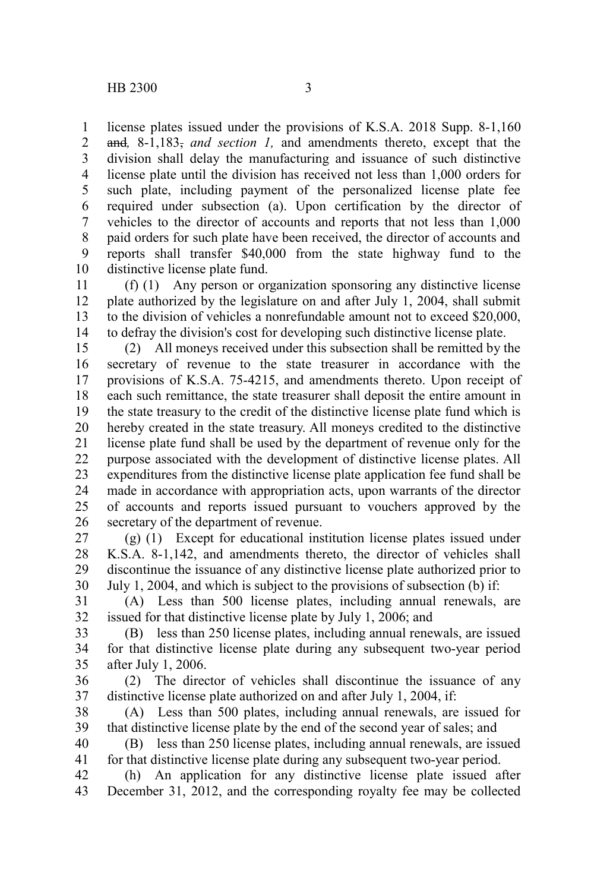1 2

license plates issued under the provisions of K.S.A. 2018 Supp. 8-1,160 and, 8-1,183, and section 1, and amendments thereto, except that the

division shall delay the manufacturing and issuance of such distinctive license plate until the division has received not less than 1,000 orders for such plate, including payment of the personalized license plate fee required under subsection (a). Upon certification by the director of vehicles to the director of accounts and reports that not less than 1,000 paid orders for such plate have been received, the director of accounts and reports shall transfer \$40,000 from the state highway fund to the distinctive license plate fund. 3 4 5 6 7 8 9 10

(f) (1) Any person or organization sponsoring any distinctive license plate authorized by the legislature on and after July 1, 2004, shall submit to the division of vehicles a nonrefundable amount not to exceed \$20,000, to defray the division's cost for developing such distinctive license plate. 11 12 13 14

(2) All moneys received under this subsection shall be remitted by the secretary of revenue to the state treasurer in accordance with the provisions of K.S.A. 75-4215, and amendments thereto. Upon receipt of each such remittance, the state treasurer shall deposit the entire amount in the state treasury to the credit of the distinctive license plate fund which is hereby created in the state treasury. All moneys credited to the distinctive license plate fund shall be used by the department of revenue only for the purpose associated with the development of distinctive license plates. All expenditures from the distinctive license plate application fee fund shall be made in accordance with appropriation acts, upon warrants of the director of accounts and reports issued pursuant to vouchers approved by the secretary of the department of revenue. 15 16 17 18 19 20 21 22 23 24 25 26

(g) (1) Except for educational institution license plates issued under K.S.A. 8-1,142, and amendments thereto, the director of vehicles shall discontinue the issuance of any distinctive license plate authorized prior to July 1, 2004, and which is subject to the provisions of subsection (b) if: 27 28 29 30

(A) Less than 500 license plates, including annual renewals, are issued for that distinctive license plate by July 1, 2006; and 31 32

(B) less than 250 license plates, including annual renewals, are issued for that distinctive license plate during any subsequent two-year period after July 1, 2006. 33 34 35

(2) The director of vehicles shall discontinue the issuance of any distinctive license plate authorized on and after July 1, 2004, if: 36 37

(A) Less than 500 plates, including annual renewals, are issued for that distinctive license plate by the end of the second year of sales; and 38 39

(B) less than 250 license plates, including annual renewals, are issued for that distinctive license plate during any subsequent two-year period. 40 41

(h) An application for any distinctive license plate issued after December 31, 2012, and the corresponding royalty fee may be collected 42 43